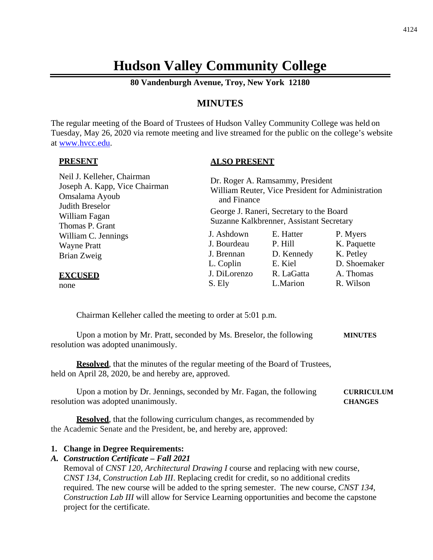# **Hudson Valley Community College**

**80 Vandenburgh Avenue, Troy, New York 12180**

# **MINUTES**

The regular meeting of the Board of Trustees of Hudson Valley Community College was held on Tuesday, May 26, 2020 via remote meeting and live streamed for the public on the college's website at [www.hvcc.edu.](http://www.hvcc.edu/)

#### **PRESENT**

#### **ALSO PRESENT**

| Neil J. Kelleher, Chairman<br>Joseph A. Kapp, Vice Chairman<br>Omsalama Ayoub | and Finance                                                                          | Dr. Roger A. Ramsammy, President | William Reuter, Vice President for Administration |  |
|-------------------------------------------------------------------------------|--------------------------------------------------------------------------------------|----------------------------------|---------------------------------------------------|--|
| Judith Breselor<br>William Fagan<br>Thomas P. Grant                           | George J. Raneri, Secretary to the Board<br>Suzanne Kalkbrenner, Assistant Secretary |                                  |                                                   |  |
| William C. Jennings                                                           | J. Ashdown                                                                           | E. Hatter                        | P. Myers                                          |  |
| <b>Wayne Pratt</b>                                                            | J. Bourdeau                                                                          | P. Hill                          | K. Paquette                                       |  |
| Brian Zweig                                                                   | J. Brennan                                                                           | D. Kennedy                       | K. Petley                                         |  |
|                                                                               | L. Coplin                                                                            | E. Kiel                          | D. Shoemaker                                      |  |
| <b>EXCUSED</b>                                                                | J. DiLorenzo                                                                         | R. LaGatta                       | A. Thomas                                         |  |
| none                                                                          | S. Ely                                                                               | L.Marion                         | R. Wilson                                         |  |

Chairman Kelleher called the meeting to order at 5:01 p.m.

Upon a motion by Mr. Pratt, seconded by Ms. Breselor, the following **MINUTES** resolution was adopted unanimously.

**Resolved**, that the minutes of the regular meeting of the Board of Trustees, held on April 28, 2020, be and hereby are, approved.

Upon a motion by Dr. Jennings, seconded by Mr. Fagan, the following **CURRICULUM** resolution was adopted unanimously. **CHANGES**

**Resolved**, that the following curriculum changes, as recommended by the Academic Senate and the President, be, and hereby are, approved:

#### **1. Change in Degree Requirements:**

#### *A. Construction Certificate – Fall 2021*

Removal of *CNST 120, Architectural Drawing I* course and replacing with new course, *CNST 134, Construction Lab III*. Replacing credit for credit, so no additional credits required. The new course will be added to the spring semester. The new course, *CNST 134, Construction Lab III* will allow for Service Learning opportunities and become the capstone project for the certificate.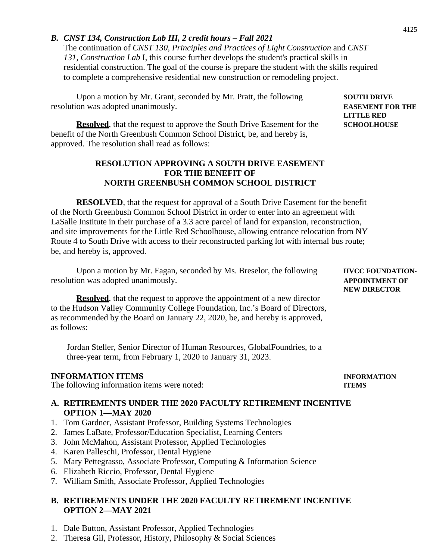# *B. CNST 134, Construction Lab III, 2 credit hours – Fall 2021*

The continuation of *CNST 130, Principles and Practices of Light Construction* and *CNST 131, Construction Lab* I, this course further develops the student's practical skills in residential construction. The goal of the course is prepare the student with the skills required to complete a comprehensive residential new construction or remodeling project.

Upon a motion by Mr. Grant, seconded by Mr. Pratt, the following **SOUTH DRIVE** resolution was adopted unanimously. **EASEMENT FOR THE**

**Resolved**, that the request to approve the South Drive Easement for the **SCHOOLHOUSE** benefit of the North Greenbush Common School District, be, and hereby is, approved. The resolution shall read as follows:

# **RESOLUTION APPROVING A SOUTH DRIVE EASEMENT FOR THE BENEFIT OF NORTH GREENBUSH COMMON SCHOOL DISTRICT**

**RESOLVED**, that the request for approval of a South Drive Easement for the benefit of the North Greenbush Common School District in order to enter into an agreement with LaSalle Institute in their purchase of a 3.3 acre parcel of land for expansion, reconstruction, and site improvements for the Little Red Schoolhouse, allowing entrance relocation from NY Route 4 to South Drive with access to their reconstructed parking lot with internal bus route; be, and hereby is, approved.

Upon a motion by Mr. Fagan, seconded by Ms. Breselor, the following **HVCC FOUNDATION**resolution was adopted unanimously. **APPOINTMENT OF**

**Resolved**, that the request to approve the appointment of a new director to the Hudson Valley Community College Foundation, Inc.'s Board of Directors, as recommended by the Board on January 22, 2020, be, and hereby is approved, as follows:

Jordan Steller, Senior Director of Human Resources, GlobalFoundries, to a three-year term, from February 1, 2020 to January 31, 2023.

# **INFORMATION ITEMS INFORMATION**

The following information items were noted: **ITEMS**

#### **A. RETIREMENTS UNDER THE 2020 FACULTY RETIREMENT INCENTIVE OPTION 1—MAY 2020**

- 1. Tom Gardner, Assistant Professor, Building Systems Technologies
- 2. James LaBate, Professor/Education Specialist, Learning Centers
- 3. John McMahon, Assistant Professor, Applied Technologies
- 4. Karen Palleschi, Professor, Dental Hygiene
- 5. Mary Pettegrasso, Associate Professor, Computing & Information Science
- 6. Elizabeth Riccio, Professor, Dental Hygiene
- 7. William Smith, Associate Professor, Applied Technologies

# **B. RETIREMENTS UNDER THE 2020 FACULTY RETIREMENT INCENTIVE OPTION 2—MAY 2021**

- 1. Dale Button, Assistant Professor, Applied Technologies
- 2. Theresa Gil, Professor, History, Philosophy & Social Sciences

# **LITTLE RED**

**NEW DIRECTOR**

4125